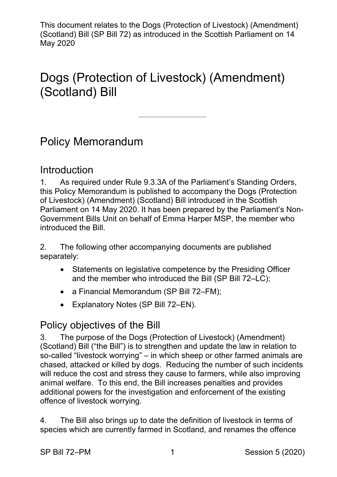# Dogs (Protection of Livestock) (Amendment) (Scotland) Bill

——————————

Policy Memorandum

#### Introduction

1. As required under Rule 9.3.3A of the Parliament's Standing Orders, this Policy Memorandum is published to accompany the Dogs (Protection of Livestock) (Amendment) (Scotland) Bill introduced in the Scottish Parliament on 14 May 2020. It has been prepared by the Parliament's Non-Government Bills Unit on behalf of Emma Harper MSP, the member who introduced the Bill.

2. The following other accompanying documents are published separately:

- Statements on legislative competence by the Presiding Officer and the member who introduced the Bill (SP Bill 72–LC);
- a Financial Memorandum (SP Bill 72–FM);
- Explanatory Notes (SP Bill 72–EN).

## Policy objectives of the Bill

3. The purpose of the Dogs (Protection of Livestock) (Amendment) (Scotland) Bill ("the Bill") is to strengthen and update the law in relation to so-called "livestock worrying" – in which sheep or other farmed animals are chased, attacked or killed by dogs. Reducing the number of such incidents will reduce the cost and stress they cause to farmers, while also improving animal welfare. To this end, the Bill increases penalties and provides additional powers for the investigation and enforcement of the existing offence of livestock worrying.

4. The Bill also brings up to date the definition of livestock in terms of species which are currently farmed in Scotland, and renames the offence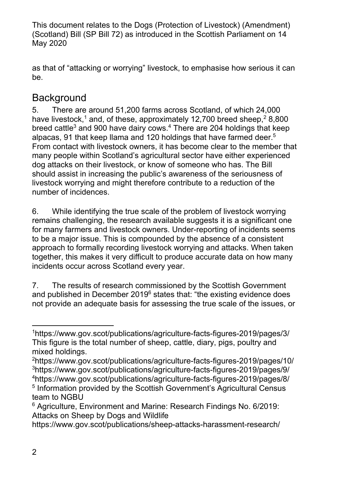as that of "attacking or worrying" livestock, to emphasise how serious it can be.

## **Background**

5. There are around 51,200 farms across Scotland, of which 24,000 have livestock,<sup>1</sup> and, of these, approximately 12,700 breed sheep,<sup>2</sup> 8,800 breed cattle $^3$  and 900 have dairy cows. $^4$  There are 204 holdings that keep alpacas, 91 that keep llama and 120 holdings that have farmed deer.<sup>5</sup> From contact with livestock owners, it has become clear to the member that many people within Scotland's agricultural sector have either experienced dog attacks on their livestock, or know of someone who has. The Bill should assist in increasing the public's awareness of the seriousness of livestock worrying and might therefore contribute to a reduction of the number of incidences.

6. While identifying the true scale of the problem of livestock worrying remains challenging, the research available suggests it is a significant one for many farmers and livestock owners. Under-reporting of incidents seems to be a major issue. This is compounded by the absence of a consistent approach to formally recording livestock worrying and attacks. When taken together, this makes it very difficult to produce accurate data on how many incidents occur across Scotland every year.

7. The results of research commissioned by the Scottish Government and published in December 2019<sup>6</sup> states that: "the existing evidence does not provide an adequate basis for assessing the true scale of the issues, or

https://www.gov.scot/publications/sheep-attacks-harassment-research/

 $\overline{a}$ 

<sup>1</sup> https://www.gov.scot/publications/agriculture-facts-figures-2019/pages/3/ This figure is the total number of sheep, cattle, diary, pigs, poultry and mixed holdings.

<sup>2</sup>https://www.gov.scot/publications/agriculture-facts-figures-2019/pages/10/ 3https://www.gov.scot/publications/agriculture-facts-figures-2019/pages/9/ 4 https://www.gov.scot/publications/agriculture-facts-figures-2019/pages/8/ 5 Information provided by the Scottish Government's Agricultural Census team to NGBU

<sup>6</sup> Agriculture, Environment and Marine: Research Findings No. 6/2019: Attacks on Sheep by Dogs and Wildlife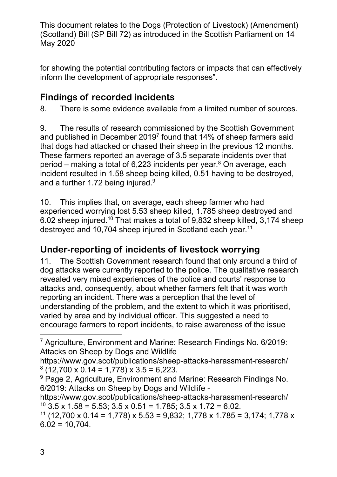for showing the potential contributing factors or impacts that can effectively inform the development of appropriate responses".

## **Findings of recorded incidents**

8. There is some evidence available from a limited number of sources.

9. The results of research commissioned by the Scottish Government and published in December 2019<sup>7</sup> found that 14% of sheep farmers said that dogs had attacked or chased their sheep in the previous 12 months. These farmers reported an average of 3.5 separate incidents over that period – making a total of 6.223 incidents per year. $8$  On average, each incident resulted in 1.58 sheep being killed, 0.51 having to be destroyed, and a further 1.72 being injured. $9$ 

10. This implies that, on average, each sheep farmer who had experienced worrying lost 5.53 sheep killed, 1.785 sheep destroyed and 6.02 sheep injured.<sup>10</sup> That makes a total of 9,832 sheep killed, 3,174 sheep destroyed and 10,704 sheep injured in Scotland each year.<sup>11</sup>

## **Under-reporting of incidents of livestock worrying**

11. The Scottish Government research found that only around a third of dog attacks were currently reported to the police. The qualitative research revealed very mixed experiences of the police and courts' response to attacks and, consequently, about whether farmers felt that it was worth reporting an incident. There was a perception that the level of understanding of the problem, and the extent to which it was prioritised, varied by area and by individual officer. This suggested a need to encourage farmers to report incidents, to raise awareness of the issue

<sup>&</sup>lt;u>.</u> <sup>7</sup> Agriculture, Environment and Marine: Research Findings No. 6/2019: Attacks on Sheep by Dogs and Wildlife

https://www.gov.scot/publications/sheep-attacks-harassment-research/  $8(12,700 \times 0.14 = 1,778) \times 3.5 = 6,223$ .

<sup>&</sup>lt;sup>9</sup> Page 2, Agriculture, Environment and Marine: Research Findings No. 6/2019: Attacks on Sheep by Dogs and Wildlife -

https://www.gov.scot/publications/sheep-attacks-harassment-research/  $10$  3.5 x 1.58 = 5.53; 3.5 x 0.51 = 1.785; 3.5 x 1.72 = 6.02.

<sup>&</sup>lt;sup>11</sup> (12,700 x 0.14 = 1,778) x 5.53 = 9,832; 1,778 x 1.785 = 3,174; 1,778 x  $6.02 = 10.704$ .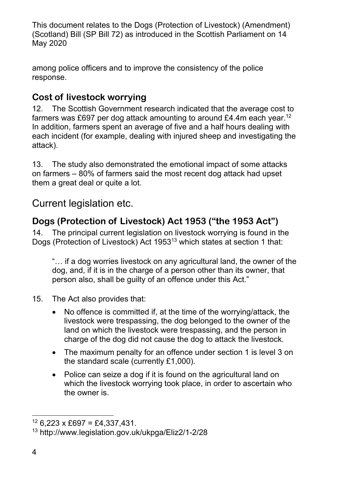among police officers and to improve the consistency of the police response.

## **Cost of livestock worrying**

12. The Scottish Government research indicated that the average cost to farmers was £697 per dog attack amounting to around £4.4m each year.<sup>12</sup> In addition, farmers spent an average of five and a half hours dealing with each incident (for example, dealing with injured sheep and investigating the attack).

13. The study also demonstrated the emotional impact of some attacks on farmers – 80% of farmers said the most recent dog attack had upset them a great deal or quite a lot.

## Current legislation etc.

## **Dogs (Protection of Livestock) Act 1953 ("the 1953 Act")**

14. The principal current legislation on livestock worrying is found in the Dogs (Protection of Livestock) Act 195313 which states at section 1 that:

"… if a dog worries livestock on any agricultural land, the owner of the dog, and, if it is in the charge of a person other than its owner, that person also, shall be guilty of an offence under this Act."

- 15. The Act also provides that:
	- No offence is committed if, at the time of the worrying/attack, the livestock were trespassing, the dog belonged to the owner of the land on which the livestock were trespassing, and the person in charge of the dog did not cause the dog to attack the livestock.
	- The maximum penalty for an offence under section 1 is level 3 on the standard scale (currently £1,000).
	- Police can seize a dog if it is found on the agricultural land on which the livestock worrying took place, in order to ascertain who the owner is.

 $\overline{a}$  $12$  6,223 x £697 = £4,337,431.

<sup>13</sup> http://www.legislation.gov.uk/ukpga/Eliz2/1-2/28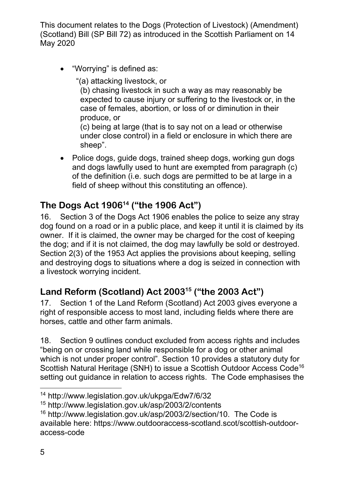"Worrying" is defined as:

"(a) attacking livestock, or

(b) chasing livestock in such a way as may reasonably be expected to cause injury or suffering to the livestock or, in the case of females, abortion, or loss of or diminution in their produce, or

(c) being at large (that is to say not on a lead or otherwise under close control) in a field or enclosure in which there are sheep".

• Police dogs, quide dogs, trained sheep dogs, working gun dogs and dogs lawfully used to hunt are exempted from paragraph (c) of the definition (i.e. such dogs are permitted to be at large in a field of sheep without this constituting an offence).

## **The Dogs Act 190614 ("the 1906 Act")**

16. Section 3 of the Dogs Act 1906 enables the police to seize any stray dog found on a road or in a public place, and keep it until it is claimed by its owner. If it is claimed, the owner may be charged for the cost of keeping the dog; and if it is not claimed, the dog may lawfully be sold or destroyed. Section 2(3) of the 1953 Act applies the provisions about keeping, selling and destroying dogs to situations where a dog is seized in connection with a livestock worrying incident.

## **Land Reform (Scotland) Act 200315 ("the 2003 Act")**

17. Section 1 of the Land Reform (Scotland) Act 2003 gives everyone a right of responsible access to most land, including fields where there are horses, cattle and other farm animals.

18. Section 9 outlines conduct excluded from access rights and includes "being on or crossing land while responsible for a dog or other animal which is not under proper control". Section 10 provides a statutory duty for Scottish Natural Heritage (SNH) to issue a Scottish Outdoor Access Code16 setting out guidance in relation to access rights. The Code emphasises the

1

<sup>14</sup> http://www.legislation.gov.uk/ukpga/Edw7/6/32

<sup>15</sup> http://www.legislation.gov.uk/asp/2003/2/contents

<sup>16</sup> http://www.legislation.gov.uk/asp/2003/2/section/10. The Code is available here: https://www.outdooraccess-scotland.scot/scottish-outdooraccess-code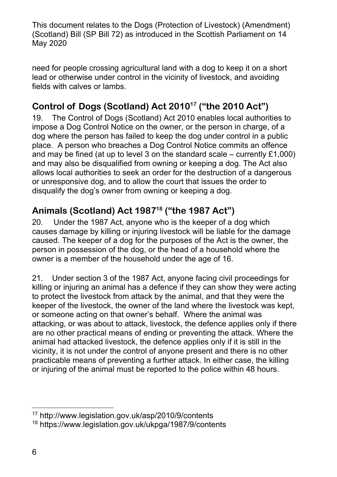need for people crossing agricultural land with a dog to keep it on a short lead or otherwise under control in the vicinity of livestock, and avoiding fields with calves or lambs.

## Control of Dogs (Scotland) Act 2010<sup>17</sup> ("the 2010 Act")

19. The Control of Dogs (Scotland) Act 2010 enables local authorities to impose a Dog Control Notice on the owner, or the person in charge, of a dog where the person has failed to keep the dog under control in a public place. A person who breaches a Dog Control Notice commits an offence and may be fined (at up to level 3 on the standard scale – currently  $£1,000$ ) and may also be disqualified from owning or keeping a dog. The Act also allows local authorities to seek an order for the destruction of a dangerous or unresponsive dog, and to allow the court that issues the order to disqualify the dog's owner from owning or keeping a dog.

### **Animals (Scotland) Act 198718 ("the 1987 Act")**

20. Under the 1987 Act, anyone who is the keeper of a dog which causes damage by killing or injuring livestock will be liable for the damage caused. The keeper of a dog for the purposes of the Act is the owner, the person in possession of the dog, or the head of a household where the owner is a member of the household under the age of 16.

21. Under section 3 of the 1987 Act, anyone facing civil proceedings for killing or injuring an animal has a defence if they can show they were acting to protect the livestock from attack by the animal, and that they were the keeper of the livestock, the owner of the land where the livestock was kept, or someone acting on that owner's behalf. Where the animal was attacking, or was about to attack, livestock, the defence applies only if there are no other practical means of ending or preventing the attack. Where the animal had attacked livestock, the defence applies only if it is still in the vicinity, it is not under the control of anyone present and there is no other practicable means of preventing a further attack. In either case, the killing or injuring of the animal must be reported to the police within 48 hours.

 $\overline{a}$ 

<sup>17</sup> http://www.legislation.gov.uk/asp/2010/9/contents

<sup>18</sup> https://www.legislation.gov.uk/ukpga/1987/9/contents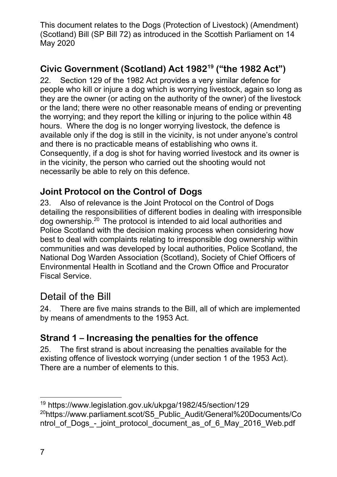## **Civic Government (Scotland) Act 198219 ("the 1982 Act")**

22. Section 129 of the 1982 Act provides a very similar defence for people who kill or injure a dog which is worrying livestock, again so long as they are the owner (or acting on the authority of the owner) of the livestock or the land; there were no other reasonable means of ending or preventing the worrying; and they report the killing or injuring to the police within 48 hours. Where the dog is no longer worrying livestock, the defence is available only if the dog is still in the vicinity, is not under anyone's control and there is no practicable means of establishing who owns it. Consequently, if a dog is shot for having worried livestock and its owner is in the vicinity, the person who carried out the shooting would not necessarily be able to rely on this defence.

#### **Joint Protocol on the Control of Dogs**

23. Also of relevance is the Joint Protocol on the Control of Dogs detailing the responsibilities of different bodies in dealing with irresponsible dog ownership.20 The protocol is intended to aid local authorities and Police Scotland with the decision making process when considering how best to deal with complaints relating to irresponsible dog ownership within communities and was developed by local authorities, Police Scotland, the National Dog Warden Association (Scotland), Society of Chief Officers of Environmental Health in Scotland and the Crown Office and Procurator Fiscal Service.

#### Detail of the Bill

24. There are five mains strands to the Bill, all of which are implemented by means of amendments to the 1953 Act.

#### **Strand 1 – Increasing the penalties for the offence**

25. The first strand is about increasing the penalties available for the existing offence of livestock worrying (under section 1 of the 1953 Act). There are a number of elements to this.

<sup>1</sup> 19 https://www.legislation.gov.uk/ukpga/1982/45/section/129 <sup>20</sup>https://www.parliament.scot/S5\_Public\_Audit/General%20Documents/Co ntrol of Dogs - joint protocol document as of 6 May 2016 Web.pdf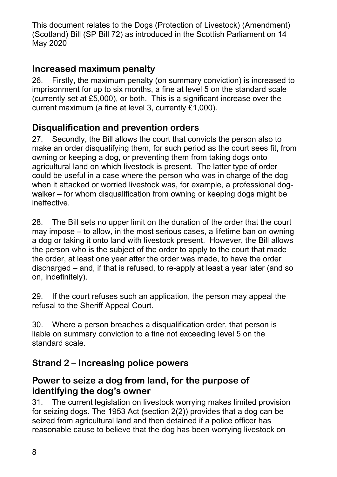#### **Increased maximum penalty**

26. Firstly, the maximum penalty (on summary conviction) is increased to imprisonment for up to six months, a fine at level 5 on the standard scale (currently set at £5,000), or both. This is a significant increase over the current maximum (a fine at level 3, currently £1,000).

#### **Disqualification and prevention orders**

27. Secondly, the Bill allows the court that convicts the person also to make an order disqualifying them, for such period as the court sees fit, from owning or keeping a dog, or preventing them from taking dogs onto agricultural land on which livestock is present. The latter type of order could be useful in a case where the person who was in charge of the dog when it attacked or worried livestock was, for example, a professional dogwalker – for whom disqualification from owning or keeping dogs might be ineffective.

28. The Bill sets no upper limit on the duration of the order that the court may impose – to allow, in the most serious cases, a lifetime ban on owning a dog or taking it onto land with livestock present. However, the Bill allows the person who is the subject of the order to apply to the court that made the order, at least one year after the order was made, to have the order discharged – and, if that is refused, to re-apply at least a year later (and so on, indefinitely).

29. If the court refuses such an application, the person may appeal the refusal to the Sheriff Appeal Court.

30. Where a person breaches a disqualification order, that person is liable on summary conviction to a fine not exceeding level 5 on the standard scale.

#### **Strand 2 – Increasing police powers**

#### **Power to seize a dog from land, for the purpose of identifying the dog's owner**

31. The current legislation on livestock worrying makes limited provision for seizing dogs. The 1953 Act (section 2(2)) provides that a dog can be seized from agricultural land and then detained if a police officer has reasonable cause to believe that the dog has been worrying livestock on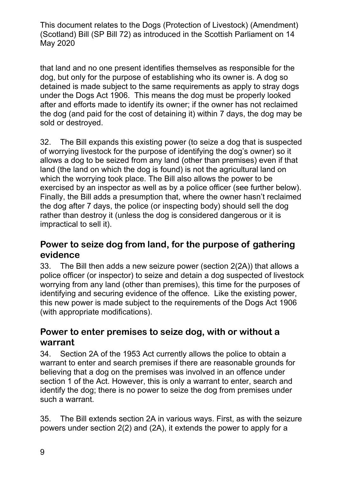that land and no one present identifies themselves as responsible for the dog, but only for the purpose of establishing who its owner is. A dog so detained is made subject to the same requirements as apply to stray dogs under the Dogs Act 1906. This means the dog must be properly looked after and efforts made to identify its owner; if the owner has not reclaimed the dog (and paid for the cost of detaining it) within 7 days, the dog may be sold or destroyed.

32. The Bill expands this existing power (to seize a dog that is suspected of worrying livestock for the purpose of identifying the dog's owner) so it allows a dog to be seized from any land (other than premises) even if that land (the land on which the dog is found) is not the agricultural land on which the worrying took place. The Bill also allows the power to be exercised by an inspector as well as by a police officer (see further below). Finally, the Bill adds a presumption that, where the owner hasn't reclaimed the dog after 7 days, the police (or inspecting body) should sell the dog rather than destroy it (unless the dog is considered dangerous or it is impractical to sell it).

#### **Power to seize dog from land, for the purpose of gathering evidence**

33. The Bill then adds a new seizure power (section 2(2A)) that allows a police officer (or inspector) to seize and detain a dog suspected of livestock worrying from any land (other than premises), this time for the purposes of identifying and securing evidence of the offence. Like the existing power, this new power is made subject to the requirements of the Dogs Act 1906 (with appropriate modifications).

#### **Power to enter premises to seize dog, with or without a warrant**

34. Section 2A of the 1953 Act currently allows the police to obtain a warrant to enter and search premises if there are reasonable grounds for believing that a dog on the premises was involved in an offence under section 1 of the Act. However, this is only a warrant to enter, search and identify the dog; there is no power to seize the dog from premises under such a warrant.

35. The Bill extends section 2A in various ways. First, as with the seizure powers under section 2(2) and (2A), it extends the power to apply for a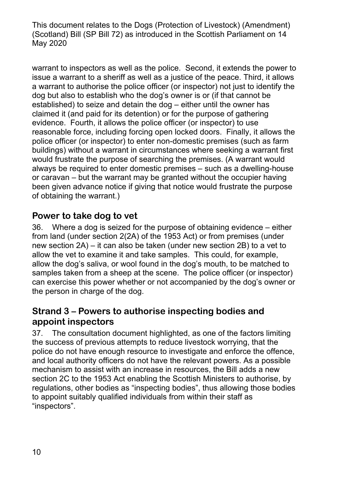warrant to inspectors as well as the police. Second, it extends the power to issue a warrant to a sheriff as well as a justice of the peace. Third, it allows a warrant to authorise the police officer (or inspector) not just to identify the dog but also to establish who the dog's owner is or (if that cannot be established) to seize and detain the dog – either until the owner has claimed it (and paid for its detention) or for the purpose of gathering evidence. Fourth, it allows the police officer (or inspector) to use reasonable force, including forcing open locked doors. Finally, it allows the police officer (or inspector) to enter non-domestic premises (such as farm buildings) without a warrant in circumstances where seeking a warrant first would frustrate the purpose of searching the premises. (A warrant would always be required to enter domestic premises – such as a dwelling-house or caravan – but the warrant may be granted without the occupier having been given advance notice if giving that notice would frustrate the purpose of obtaining the warrant.)

#### **Power to take dog to vet**

36. Where a dog is seized for the purpose of obtaining evidence – either from land (under section 2(2A) of the 1953 Act) or from premises (under new section 2A) – it can also be taken (under new section 2B) to a vet to allow the vet to examine it and take samples. This could, for example, allow the dog's saliva, or wool found in the dog's mouth, to be matched to samples taken from a sheep at the scene. The police officer (or inspector) can exercise this power whether or not accompanied by the dog's owner or the person in charge of the dog.

#### **Strand 3 – Powers to authorise inspecting bodies and appoint inspectors**

37. The consultation document highlighted, as one of the factors limiting the success of previous attempts to reduce livestock worrying, that the police do not have enough resource to investigate and enforce the offence, and local authority officers do not have the relevant powers. As a possible mechanism to assist with an increase in resources, the Bill adds a new section 2C to the 1953 Act enabling the Scottish Ministers to authorise, by regulations, other bodies as "inspecting bodies", thus allowing those bodies to appoint suitably qualified individuals from within their staff as "inspectors".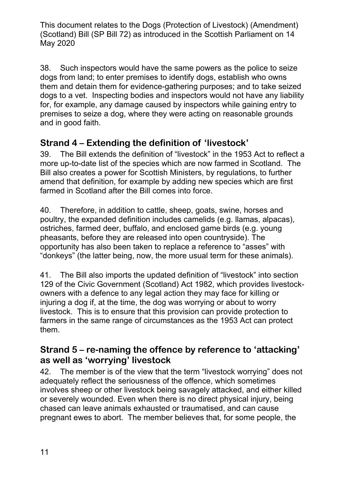38. Such inspectors would have the same powers as the police to seize dogs from land; to enter premises to identify dogs, establish who owns them and detain them for evidence-gathering purposes; and to take seized dogs to a vet. Inspecting bodies and inspectors would not have any liability for, for example, any damage caused by inspectors while gaining entry to premises to seize a dog, where they were acting on reasonable grounds and in good faith.

#### **Strand 4 – Extending the definition of 'livestock'**

39. The Bill extends the definition of "livestock" in the 1953 Act to reflect a more up-to-date list of the species which are now farmed in Scotland. The Bill also creates a power for Scottish Ministers, by regulations, to further amend that definition, for example by adding new species which are first farmed in Scotland after the Bill comes into force.

40. Therefore, in addition to cattle, sheep, goats, swine, horses and poultry, the expanded definition includes camelids (e.g. llamas, alpacas), ostriches, farmed deer, buffalo, and enclosed game birds (e.g. young pheasants, before they are released into open countryside). The opportunity has also been taken to replace a reference to "asses" with "donkeys" (the latter being, now, the more usual term for these animals).

41. The Bill also imports the updated definition of "livestock" into section 129 of the Civic Government (Scotland) Act 1982, which provides livestockowners with a defence to any legal action they may face for killing or injuring a dog if, at the time, the dog was worrying or about to worry livestock. This is to ensure that this provision can provide protection to farmers in the same range of circumstances as the 1953 Act can protect them.

#### **Strand 5 – re-naming the offence by reference to 'attacking' as well as 'worrying' livestock**

42. The member is of the view that the term "livestock worrying" does not adequately reflect the seriousness of the offence, which sometimes involves sheep or other livestock being savagely attacked, and either killed or severely wounded. Even when there is no direct physical injury, being chased can leave animals exhausted or traumatised, and can cause pregnant ewes to abort. The member believes that, for some people, the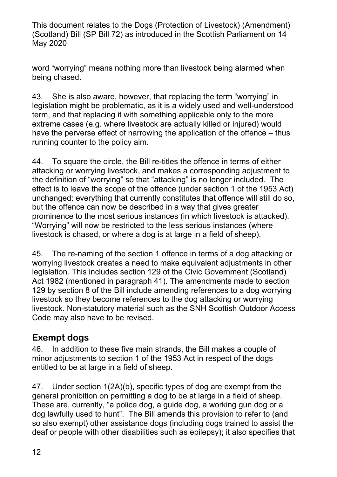word "worrying" means nothing more than livestock being alarmed when being chased.

43. She is also aware, however, that replacing the term "worrying" in legislation might be problematic, as it is a widely used and well-understood term, and that replacing it with something applicable only to the more extreme cases (e.g. where livestock are actually killed or injured) would have the perverse effect of narrowing the application of the offence – thus running counter to the policy aim.

44. To square the circle, the Bill re-titles the offence in terms of either attacking or worrying livestock, and makes a corresponding adjustment to the definition of "worrying" so that "attacking" is no longer included. The effect is to leave the scope of the offence (under section 1 of the 1953 Act) unchanged: everything that currently constitutes that offence will still do so, but the offence can now be described in a way that gives greater prominence to the most serious instances (in which livestock is attacked). "Worrying" will now be restricted to the less serious instances (where livestock is chased, or where a dog is at large in a field of sheep).

45. The re-naming of the section 1 offence in terms of a dog attacking or worrying livestock creates a need to make equivalent adjustments in other legislation. This includes section 129 of the Civic Government (Scotland) Act 1982 (mentioned in paragraph 41). The amendments made to section 129 by section 8 of the Bill include amending references to a dog worrying livestock so they become references to the dog attacking or worrying livestock. Non-statutory material such as the SNH Scottish Outdoor Access Code may also have to be revised.

#### **Exempt dogs**

46. In addition to these five main strands, the Bill makes a couple of minor adjustments to section 1 of the 1953 Act in respect of the dogs entitled to be at large in a field of sheep.

47. Under section 1(2A)(b), specific types of dog are exempt from the general prohibition on permitting a dog to be at large in a field of sheep. These are, currently, "a police dog, a guide dog, a working gun dog or a dog lawfully used to hunt". The Bill amends this provision to refer to (and so also exempt) other assistance dogs (including dogs trained to assist the deaf or people with other disabilities such as epilepsy); it also specifies that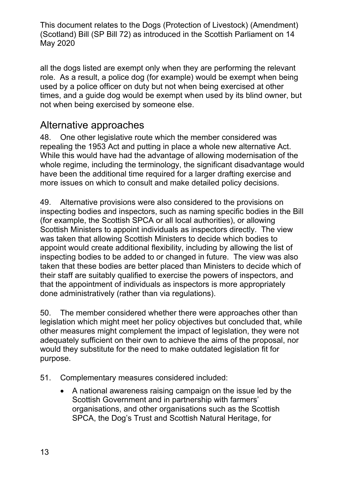all the dogs listed are exempt only when they are performing the relevant role. As a result, a police dog (for example) would be exempt when being used by a police officer on duty but not when being exercised at other times, and a guide dog would be exempt when used by its blind owner, but not when being exercised by someone else.

## Alternative approaches

48. One other legislative route which the member considered was repealing the 1953 Act and putting in place a whole new alternative Act. While this would have had the advantage of allowing modernisation of the whole regime, including the terminology, the significant disadvantage would have been the additional time required for a larger drafting exercise and more issues on which to consult and make detailed policy decisions.

49. Alternative provisions were also considered to the provisions on inspecting bodies and inspectors, such as naming specific bodies in the Bill (for example, the Scottish SPCA or all local authorities), or allowing Scottish Ministers to appoint individuals as inspectors directly. The view was taken that allowing Scottish Ministers to decide which bodies to appoint would create additional flexibility, including by allowing the list of inspecting bodies to be added to or changed in future. The view was also taken that these bodies are better placed than Ministers to decide which of their staff are suitably qualified to exercise the powers of inspectors, and that the appointment of individuals as inspectors is more appropriately done administratively (rather than via regulations).

50. The member considered whether there were approaches other than legislation which might meet her policy objectives but concluded that, while other measures might complement the impact of legislation, they were not adequately sufficient on their own to achieve the aims of the proposal, nor would they substitute for the need to make outdated legislation fit for purpose.

- 51. Complementary measures considered included:
	- A national awareness raising campaign on the issue led by the Scottish Government and in partnership with farmers' organisations, and other organisations such as the Scottish SPCA, the Dog's Trust and Scottish Natural Heritage, for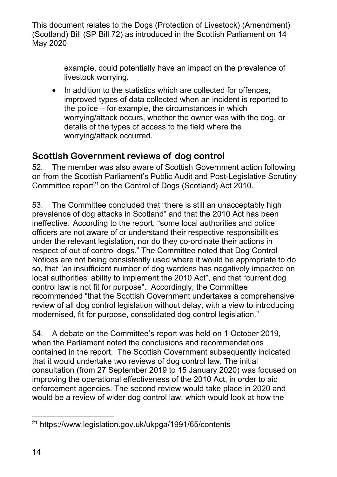> example, could potentially have an impact on the prevalence of livestock worrying.

• In addition to the statistics which are collected for offences, improved types of data collected when an incident is reported to the police – for example, the circumstances in which worrying/attack occurs, whether the owner was with the dog, or details of the types of access to the field where the worrying/attack occurred.

### **Scottish Government reviews of dog control**

52. The member was also aware of Scottish Government action following on from the Scottish Parliament's Public Audit and Post-Legislative Scrutiny Committee report<sup>21</sup> on the Control of Dogs (Scotland) Act 2010.

53. The Committee concluded that "there is still an unacceptably high prevalence of dog attacks in Scotland" and that the 2010 Act has been ineffective. According to the report, "some local authorities and police officers are not aware of or understand their respective responsibilities under the relevant legislation, nor do they co-ordinate their actions in respect of out of control dogs." The Committee noted that Dog Control Notices are not being consistently used where it would be appropriate to do so, that "an insufficient number of dog wardens has negatively impacted on local authorities' ability to implement the 2010 Act", and that "current dog control law is not fit for purpose". Accordingly, the Committee recommended "that the Scottish Government undertakes a comprehensive review of all dog control legislation without delay, with a view to introducing modernised, fit for purpose, consolidated dog control legislation."

54. A debate on the Committee's report was held on 1 October 2019, when the Parliament noted the conclusions and recommendations contained in the report. The Scottish Government subsequently indicated that it would undertake two reviews of dog control law. The initial consultation (from 27 September 2019 to 15 January 2020) was focused on improving the operational effectiveness of the 2010 Act, in order to aid enforcement agencies. The second review would take place in 2020 and would be a review of wider dog control law, which would look at how the

 $\overline{a}$ 21 https://www.legislation.gov.uk/ukpga/1991/65/contents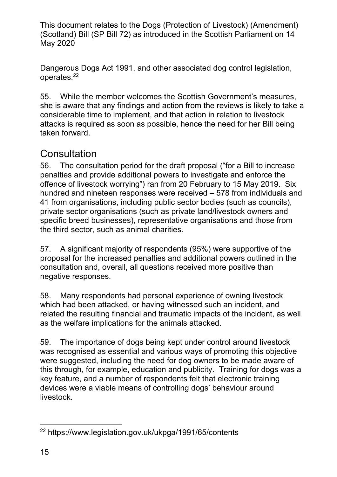Dangerous Dogs Act 1991, and other associated dog control legislation, operates.22

55. While the member welcomes the Scottish Government's measures, she is aware that any findings and action from the reviews is likely to take a considerable time to implement, and that action in relation to livestock attacks is required as soon as possible, hence the need for her Bill being taken forward.

## **Consultation**

56. The consultation period for the draft proposal ("for a Bill to increase penalties and provide additional powers to investigate and enforce the offence of livestock worrying") ran from 20 February to 15 May 2019. Six hundred and nineteen responses were received – 578 from individuals and 41 from organisations, including public sector bodies (such as councils), private sector organisations (such as private land/livestock owners and specific breed businesses), representative organisations and those from the third sector, such as animal charities.

57. A significant majority of respondents (95%) were supportive of the proposal for the increased penalties and additional powers outlined in the consultation and, overall, all questions received more positive than negative responses.

58. Many respondents had personal experience of owning livestock which had been attacked, or having witnessed such an incident, and related the resulting financial and traumatic impacts of the incident, as well as the welfare implications for the animals attacked.

59. The importance of dogs being kept under control around livestock was recognised as essential and various ways of promoting this objective were suggested, including the need for dog owners to be made aware of this through, for example, education and publicity. Training for dogs was a key feature, and a number of respondents felt that electronic training devices were a viable means of controlling dogs' behaviour around livestock.

<sup>&</sup>lt;u>.</u> 22 https://www.legislation.gov.uk/ukpga/1991/65/contents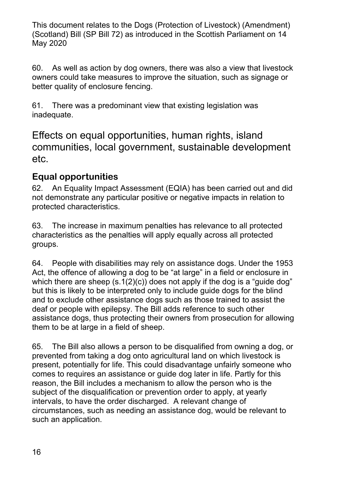60. As well as action by dog owners, there was also a view that livestock owners could take measures to improve the situation, such as signage or better quality of enclosure fencing.

61. There was a predominant view that existing legislation was inadequate.

Effects on equal opportunities, human rights, island communities, local government, sustainable development etc.

#### **Equal opportunities**

62. An Equality Impact Assessment (EQIA) has been carried out and did not demonstrate any particular positive or negative impacts in relation to protected characteristics.

63. The increase in maximum penalties has relevance to all protected characteristics as the penalties will apply equally across all protected groups.

64. People with disabilities may rely on assistance dogs. Under the 1953 Act, the offence of allowing a dog to be "at large" in a field or enclosure in which there are sheep (s.1(2)(c)) does not apply if the dog is a "guide dog" but this is likely to be interpreted only to include guide dogs for the blind and to exclude other assistance dogs such as those trained to assist the deaf or people with epilepsy. The Bill adds reference to such other assistance dogs, thus protecting their owners from prosecution for allowing them to be at large in a field of sheep.

65. The Bill also allows a person to be disqualified from owning a dog, or prevented from taking a dog onto agricultural land on which livestock is present, potentially for life. This could disadvantage unfairly someone who comes to requires an assistance or guide dog later in life. Partly for this reason, the Bill includes a mechanism to allow the person who is the subject of the disqualification or prevention order to apply, at yearly intervals, to have the order discharged. A relevant change of circumstances, such as needing an assistance dog, would be relevant to such an application.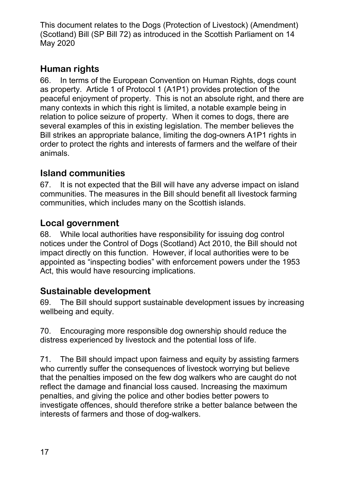#### **Human rights**

66. In terms of the European Convention on Human Rights, dogs count as property. Article 1 of Protocol 1 (A1P1) provides protection of the peaceful enjoyment of property. This is not an absolute right, and there are many contexts in which this right is limited, a notable example being in relation to police seizure of property. When it comes to dogs, there are several examples of this in existing legislation. The member believes the Bill strikes an appropriate balance, limiting the dog-owners A1P1 rights in order to protect the rights and interests of farmers and the welfare of their animals.

#### **Island communities**

67. It is not expected that the Bill will have any adverse impact on island communities. The measures in the Bill should benefit all livestock farming communities, which includes many on the Scottish islands.

#### **Local government**

68. While local authorities have responsibility for issuing dog control notices under the Control of Dogs (Scotland) Act 2010, the Bill should not impact directly on this function. However, if local authorities were to be appointed as "inspecting bodies" with enforcement powers under the 1953 Act, this would have resourcing implications.

#### **Sustainable development**

69. The Bill should support sustainable development issues by increasing wellbeing and equity.

70. Encouraging more responsible dog ownership should reduce the distress experienced by livestock and the potential loss of life.

71. The Bill should impact upon fairness and equity by assisting farmers who currently suffer the consequences of livestock worrying but believe that the penalties imposed on the few dog walkers who are caught do not reflect the damage and financial loss caused. Increasing the maximum penalties, and giving the police and other bodies better powers to investigate offences, should therefore strike a better balance between the interests of farmers and those of dog-walkers.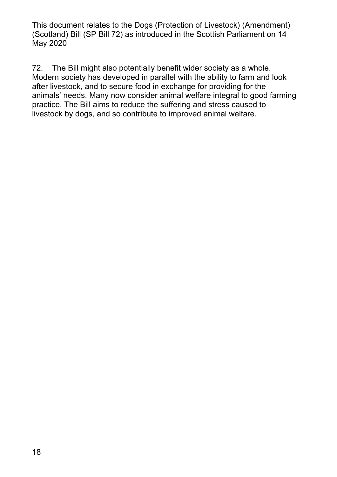72. The Bill might also potentially benefit wider society as a whole. Modern society has developed in parallel with the ability to farm and look after livestock, and to secure food in exchange for providing for the animals' needs. Many now consider animal welfare integral to good farming practice. The Bill aims to reduce the suffering and stress caused to livestock by dogs, and so contribute to improved animal welfare.